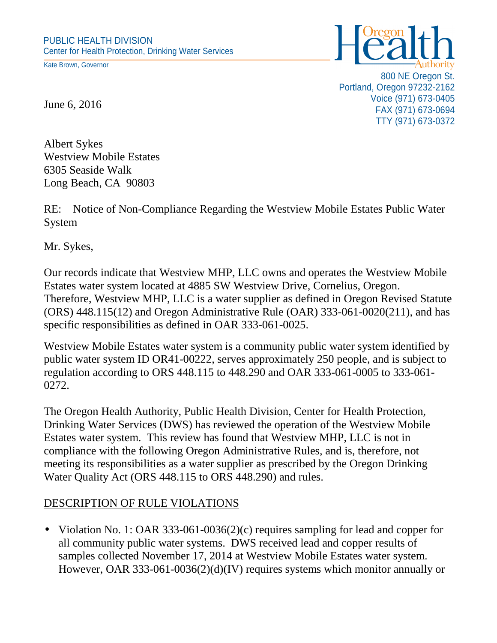Kate Brown, Governor



800 NE Oregon St. Portland, Oregon 97232-2162 Voice (971) 673-0405 FAX (971) 673-0694 TTY (971) 673-0372

June 6, 2016

Albert Sykes Westview Mobile Estates 6305 Seaside Walk Long Beach, CA 90803

RE: Notice of Non-Compliance Regarding the Westview Mobile Estates Public Water System

Mr. Sykes,

Our records indicate that Westview MHP, LLC owns and operates the Westview Mobile Estates water system located at 4885 SW Westview Drive, Cornelius, Oregon. Therefore, Westview MHP, LLC is a water supplier as defined in Oregon Revised Statute (ORS) 448.115(12) and Oregon Administrative Rule (OAR) 333-061-0020(211), and has specific responsibilities as defined in OAR 333-061-0025.

Westview Mobile Estates water system is a community public water system identified by public water system ID OR41-00222, serves approximately 250 people, and is subject to regulation according to ORS 448.115 to 448.290 and OAR 333-061-0005 to 333-061- 0272.

The Oregon Health Authority, Public Health Division, Center for Health Protection, Drinking Water Services (DWS) has reviewed the operation of the Westview Mobile Estates water system. This review has found that Westview MHP, LLC is not in compliance with the following Oregon Administrative Rules, and is, therefore, not meeting its responsibilities as a water supplier as prescribed by the Oregon Drinking Water Quality Act (ORS 448.115 to ORS 448.290) and rules.

## DESCRIPTION OF RULE VIOLATIONS

• Violation No. 1: OAR 333-061-0036(2)(c) requires sampling for lead and copper for all community public water systems. DWS received lead and copper results of samples collected November 17, 2014 at Westview Mobile Estates water system. However, OAR 333-061-0036(2)(d)(IV) requires systems which monitor annually or